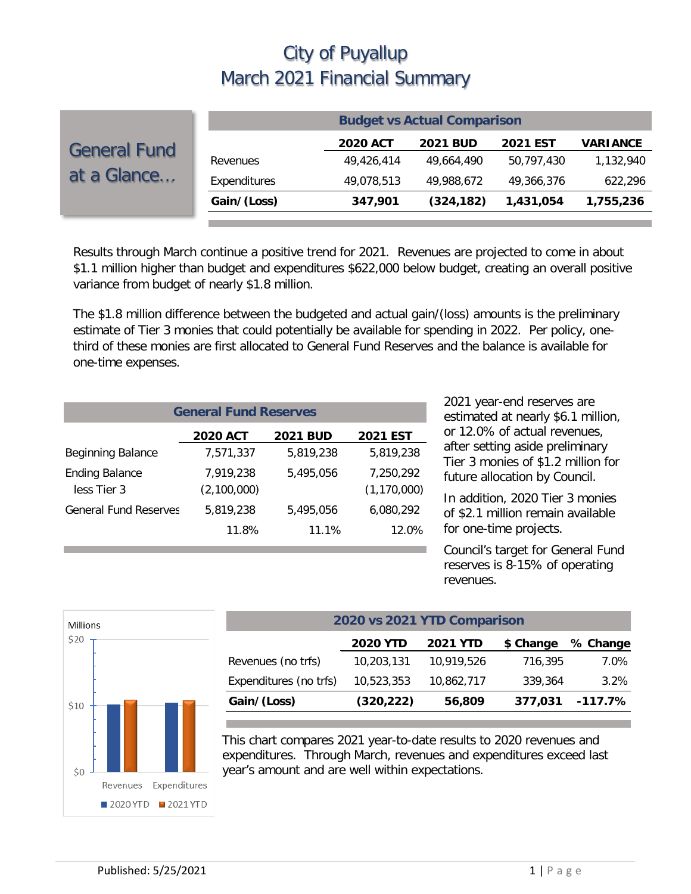|                                    | <b>Budget vs Actual Comparison</b> |                 |                 |                 |                 |  |  |
|------------------------------------|------------------------------------|-----------------|-----------------|-----------------|-----------------|--|--|
| <b>General Fund</b><br>at a Glance |                                    | <b>2020 ACT</b> | <b>2021 BUD</b> | <b>2021 EST</b> | <b>VARIANCE</b> |  |  |
|                                    | Revenues                           | 49,426,414      | 49.664.490      | 50.797.430      | 1,132,940       |  |  |
|                                    | Expenditures                       | 49,078,513      | 49,988,672      | 49,366,376      | 622,296         |  |  |
|                                    | Gain/(Loss)                        | 347,901         | (324, 182)      | 1,431,054       | 1,755,236       |  |  |
|                                    |                                    |                 |                 |                 |                 |  |  |

Results through March continue a positive trend for 2021. Revenues are projected to come in about \$1.1 million higher than budget and expenditures \$622,000 below budget, creating an overall positive variance from budget of nearly \$1.8 million.

The \$1.8 million difference between the budgeted and actual gain/(loss) amounts is the preliminary estimate of Tier 3 monies that could potentially be available for spending in 2022. Per policy, onethird of these monies are first allocated to General Fund Reserves and the balance is available for one-time expenses.

| <b>General Fund Reserves</b>         |                          |                 |                            |  |  |  |
|--------------------------------------|--------------------------|-----------------|----------------------------|--|--|--|
|                                      | <b>2020 ACT</b>          | <b>2021 BUD</b> | <b>2021 EST</b>            |  |  |  |
| Beginning Balance                    | 7,571,337                | 5.819.238       | 5,819,238                  |  |  |  |
| <b>Ending Balance</b><br>less Tier 3 | 7.919.238<br>(2,100,000) | 5.495.056       | 7,250,292<br>(1, 170, 000) |  |  |  |
| <b>General Fund Reserves</b>         | 5,819,238                | 5,495,056       | 6,080,292                  |  |  |  |
|                                      | 11.8%                    | 11.1%           | 12.0%                      |  |  |  |

2021 year-end reserves are estimated at nearly \$6.1 million, or 12.0% of actual revenues, after setting aside preliminary Tier 3 monies of \$1.2 million for future allocation by Council.

In addition, 2020 Tier 3 monies of \$2.1 million remain available for one-time projects.

Council's target for General Fund reserves is 8-15% of operating revenues.



| 2020 vs 2021 YTD Comparison                                 |            |            |         |            |  |  |  |  |
|-------------------------------------------------------------|------------|------------|---------|------------|--|--|--|--|
| <b>2020 YTD</b><br><b>2021 YTD</b><br>\$ Change<br>% Change |            |            |         |            |  |  |  |  |
| Revenues (no trfs)                                          | 10,203,131 | 10,919,526 | 716,395 | 7.0%       |  |  |  |  |
| Expenditures (no trfs)                                      | 10,523,353 | 10,862,717 | 339,364 | 3.2%       |  |  |  |  |
| Gain/(Loss)                                                 | (320, 222) | 56,809     | 377,031 | $-117.7\%$ |  |  |  |  |

This chart compares 2021 year-to-date results to 2020 revenues and expenditures. Through March, revenues and expenditures exceed last year's amount and are well within expectations.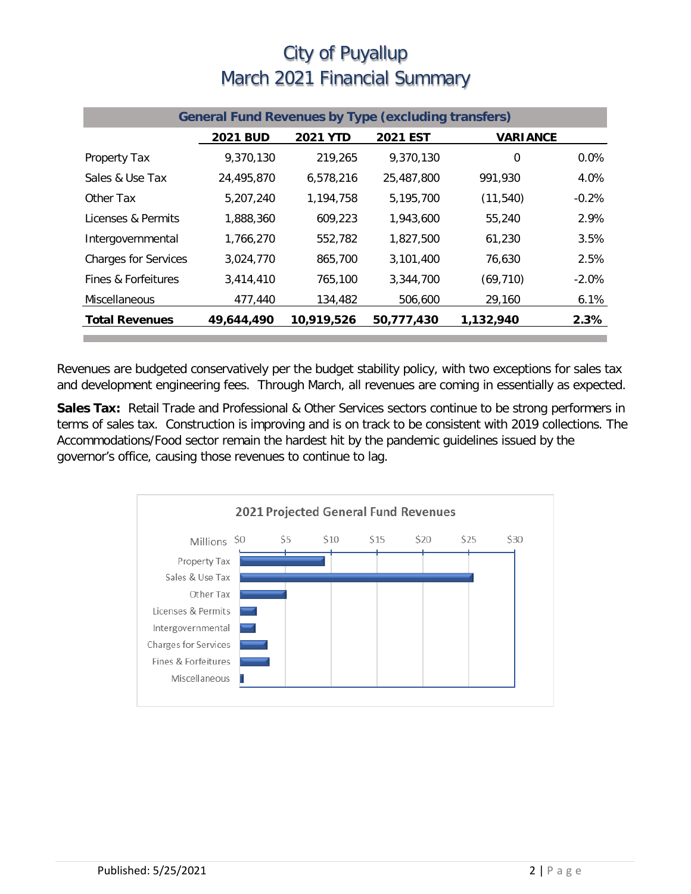| <b>General Fund Revenues by Type (excluding transfers)</b> |                 |                 |                 |                 |          |  |
|------------------------------------------------------------|-----------------|-----------------|-----------------|-----------------|----------|--|
|                                                            | <b>2021 BUD</b> | <b>2021 YTD</b> | <b>2021 EST</b> | <b>VARIANCE</b> |          |  |
| Property Tax                                               | 9,370,130       | 219,265         | 9,370,130       | 0               | $0.0\%$  |  |
| Sales & Use Tax                                            | 24,495,870      | 6,578,216       | 25,487,800      | 991,930         | 4.0%     |  |
| Other Tax                                                  | 5,207,240       | 1,194,758       | 5,195,700       | (11, 540)       | $-0.2%$  |  |
| Licenses & Permits                                         | 1,888,360       | 609,223         | 1,943,600       | 55,240          | 2.9%     |  |
| Intergovernmental                                          | 1,766,270       | 552,782         | 1,827,500       | 61,230          | 3.5%     |  |
| <b>Charges for Services</b>                                | 3,024,770       | 865,700         | 3.101.400       | 76,630          | 2.5%     |  |
| Fines & Forfeitures                                        | 3,414,410       | 765,100         | 3,344,700       | (69, 710)       | $-2.0\%$ |  |
| <b>Miscellaneous</b>                                       | 477,440         | 134,482         | 506,600         | 29,160          | 6.1%     |  |
| <b>Total Revenues</b>                                      | 49,644,490      | 10,919,526      | 50,777,430      | 1,132,940       | 2.3%     |  |

Revenues are budgeted conservatively per the budget stability policy, with two exceptions for sales tax and development engineering fees. Through March, all revenues are coming in essentially as expected.

**Sales Tax:** Retail Trade and Professional & Other Services sectors continue to be strong performers in terms of sales tax. Construction is improving and is on track to be consistent with 2019 collections. The Accommodations/Food sector remain the hardest hit by the pandemic guidelines issued by the governor's office, causing those revenues to continue to lag.

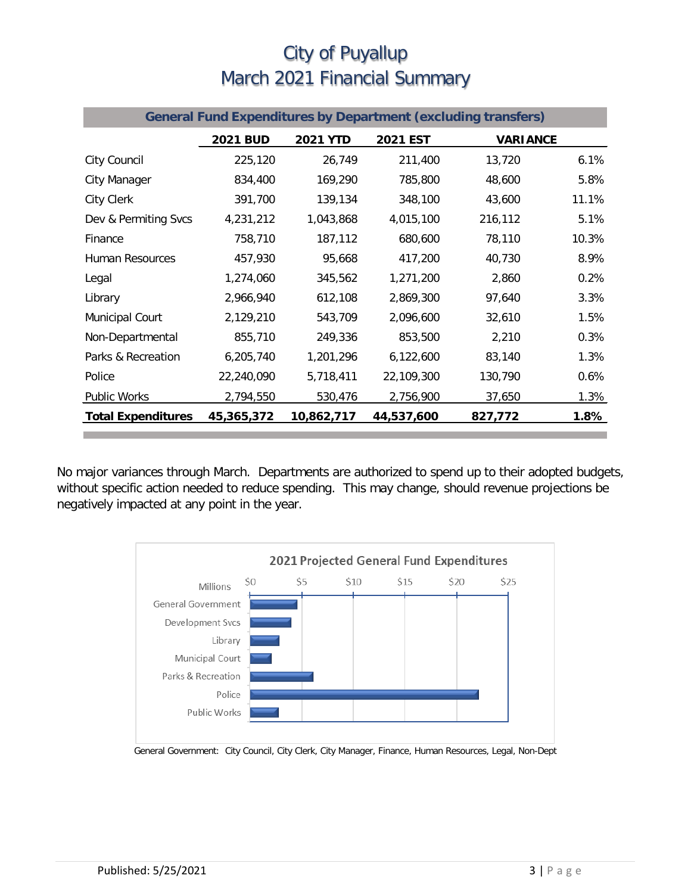| <b>General Fund Expenditures by Department (excluding transfers)</b> |                 |                 |            |                 |       |  |
|----------------------------------------------------------------------|-----------------|-----------------|------------|-----------------|-------|--|
|                                                                      | <b>2021 BUD</b> | <b>2021 YTD</b> | 2021 EST   | <b>VARIANCE</b> |       |  |
| City Council                                                         | 225,120         | 26,749          | 211,400    | 13,720          | 6.1%  |  |
| City Manager                                                         | 834,400         | 169,290         | 785,800    | 48,600          | 5.8%  |  |
| <b>City Clerk</b>                                                    | 391,700         | 139,134         | 348,100    | 43,600          | 11.1% |  |
| Dev & Permiting Svcs                                                 | 4,231,212       | 1,043,868       | 4,015,100  | 216,112         | 5.1%  |  |
| Finance                                                              | 758,710         | 187,112         | 680,600    | 78,110          | 10.3% |  |
| <b>Human Resources</b>                                               | 457,930         | 95,668          | 417,200    | 40,730          | 8.9%  |  |
| Legal                                                                | 1,274,060       | 345,562         | 1,271,200  | 2,860           | 0.2%  |  |
| Library                                                              | 2,966,940       | 612,108         | 2,869,300  | 97,640          | 3.3%  |  |
| Municipal Court                                                      | 2,129,210       | 543,709         | 2,096,600  | 32,610          | 1.5%  |  |
| Non-Departmental                                                     | 855,710         | 249,336         | 853,500    | 2,210           | 0.3%  |  |
| Parks & Recreation                                                   | 6,205,740       | 1,201,296       | 6,122,600  | 83,140          | 1.3%  |  |
| Police                                                               | 22,240,090      | 5,718,411       | 22,109,300 | 130,790         | 0.6%  |  |
| <b>Public Works</b>                                                  | 2,794,550       | 530,476         | 2,756,900  | 37,650          | 1.3%  |  |
| <b>Total Expenditures</b>                                            | 45,365,372      | 10,862,717      | 44,537,600 | 827,772         | 1.8%  |  |

No major variances through March. Departments are authorized to spend up to their adopted budgets, without specific action needed to reduce spending. This may change, should revenue projections be negatively impacted at any point in the year.



General Government: City Council, City Clerk, City Manager, Finance, Human Resources, Legal, Non-Dept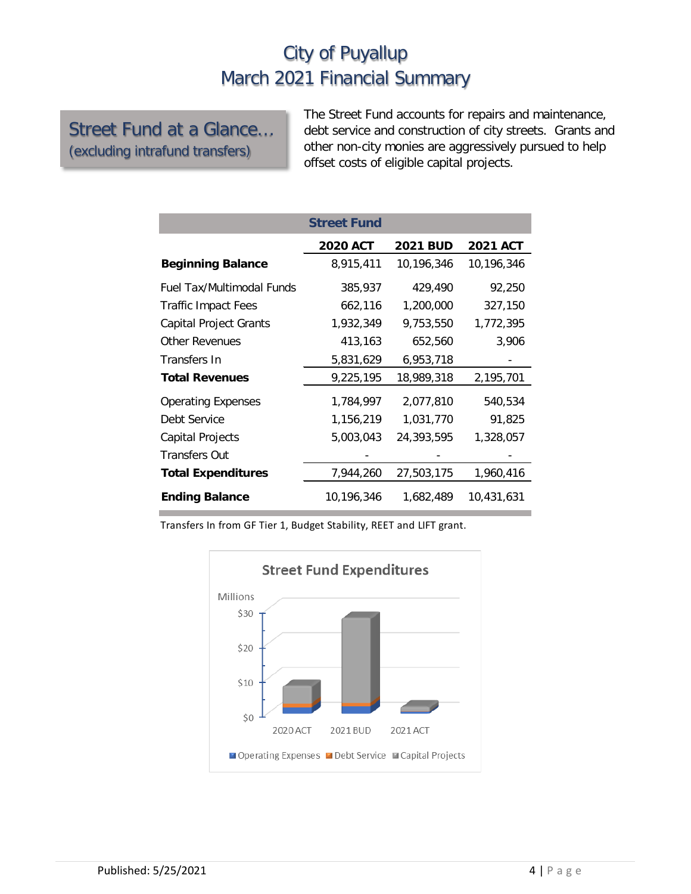#### Street Fund at a Glance… (excluding intrafund transfers)

The Street Fund accounts for repairs and maintenance, debt service and construction of city streets. Grants and other non-city monies are aggressively pursued to help offset costs of eligible capital projects.

|                                  | <b>Street Fund</b> |                 |                 |
|----------------------------------|--------------------|-----------------|-----------------|
|                                  | <b>2020 ACT</b>    | <b>2021 BUD</b> | <b>2021 ACT</b> |
| <b>Beginning Balance</b>         | 8,915,411          | 10,196,346      | 10,196,346      |
| <b>Fuel Tax/Multimodal Funds</b> | 385,937            | 429,490         | 92,250          |
| <b>Traffic Impact Fees</b>       | 662,116            | 1,200,000       | 327,150         |
| <b>Capital Project Grants</b>    | 1,932,349          | 9,753,550       | 1,772,395       |
| <b>Other Revenues</b>            | 413,163            | 652,560         | 3,906           |
| Transfers In                     | 5,831,629          | 6,953,718       |                 |
| <b>Total Revenues</b>            | 9,225,195          | 18,989,318      | 2,195,701       |
| <b>Operating Expenses</b>        | 1,784,997          | 2,077,810       | 540,534         |
| Debt Service                     | 1,156,219          | 1,031,770       | 91,825          |
| Capital Projects                 | 5,003,043          | 24,393,595      | 1,328,057       |
| <b>Transfers Out</b>             |                    |                 |                 |
| <b>Total Expenditures</b>        | 7,944,260          | 27,503,175      | 1,960,416       |
| <b>Ending Balance</b>            | 10,196,346         | 1,682,489       | 10,431,631      |

Transfers In from GF Tier 1, Budget Stability, REET and LIFT grant.

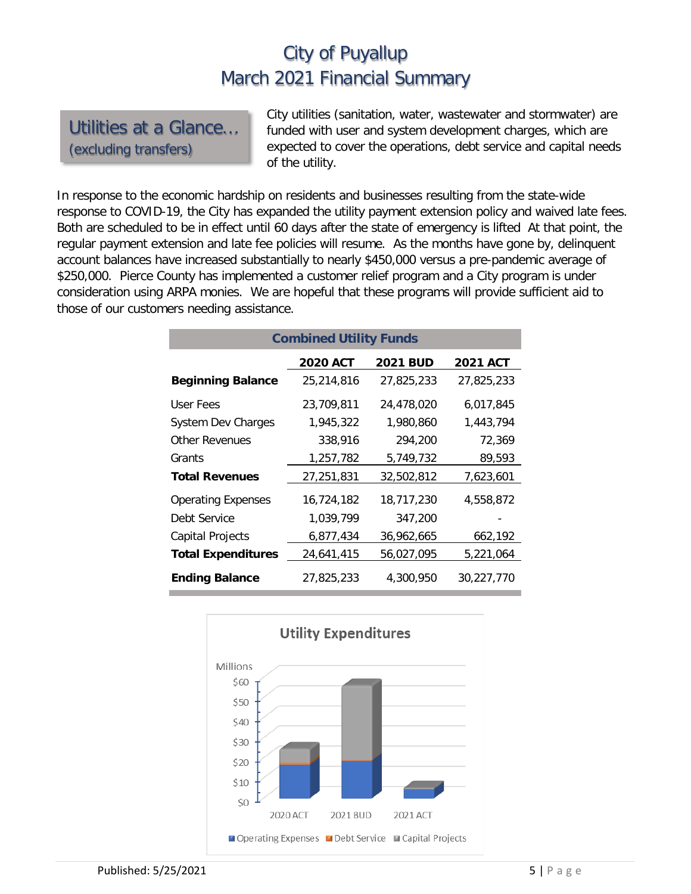Utilities at a Glance… (excluding transfers)

City utilities (sanitation, water, wastewater and stormwater) are funded with user and system development charges, which are expected to cover the operations, debt service and capital needs of the utility.

In response to the economic hardship on residents and businesses resulting from the state-wide response to COVID-19, the City has expanded the utility payment extension policy and waived late fees. Both are scheduled to be in effect until 60 days after the state of emergency is lifted At that point, the regular payment extension and late fee policies will resume. As the months have gone by, delinquent account balances have increased substantially to nearly \$450,000 versus a pre-pandemic average of \$250,000. Pierce County has implemented a customer relief program and a City program is under consideration using ARPA monies. We are hopeful that these programs will provide sufficient aid to those of our customers needing assistance.

| <b>Combined Utility Funds</b> |                 |                 |                 |  |  |  |  |
|-------------------------------|-----------------|-----------------|-----------------|--|--|--|--|
|                               | <b>2020 ACT</b> | <b>2021 BUD</b> | <b>2021 ACT</b> |  |  |  |  |
| <b>Beginning Balance</b>      | 25,214,816      | 27,825,233      | 27,825,233      |  |  |  |  |
| User Fees                     | 23,709,811      | 24,478,020      | 6,017,845       |  |  |  |  |
| <b>System Dev Charges</b>     | 1,945,322       | 1,980,860       | 1,443,794       |  |  |  |  |
| Other Revenues                | 338,916         | 294,200         | 72,369          |  |  |  |  |
| Grants                        | 1,257,782       | 5,749,732       | 89,593          |  |  |  |  |
| <b>Total Revenues</b>         | 27,251,831      | 32,502,812      | 7,623,601       |  |  |  |  |
| <b>Operating Expenses</b>     | 16,724,182      | 18,717,230      | 4,558,872       |  |  |  |  |
| Debt Service                  | 1,039,799       | 347,200         |                 |  |  |  |  |
| Capital Projects              | 6,877,434       | 36,962,665      | 662,192         |  |  |  |  |
| <b>Total Expenditures</b>     | 24,641,415      | 56,027,095      | 5,221,064       |  |  |  |  |
| <b>Ending Balance</b>         | 27,825,233      | 4,300,950       | 30,227,770      |  |  |  |  |

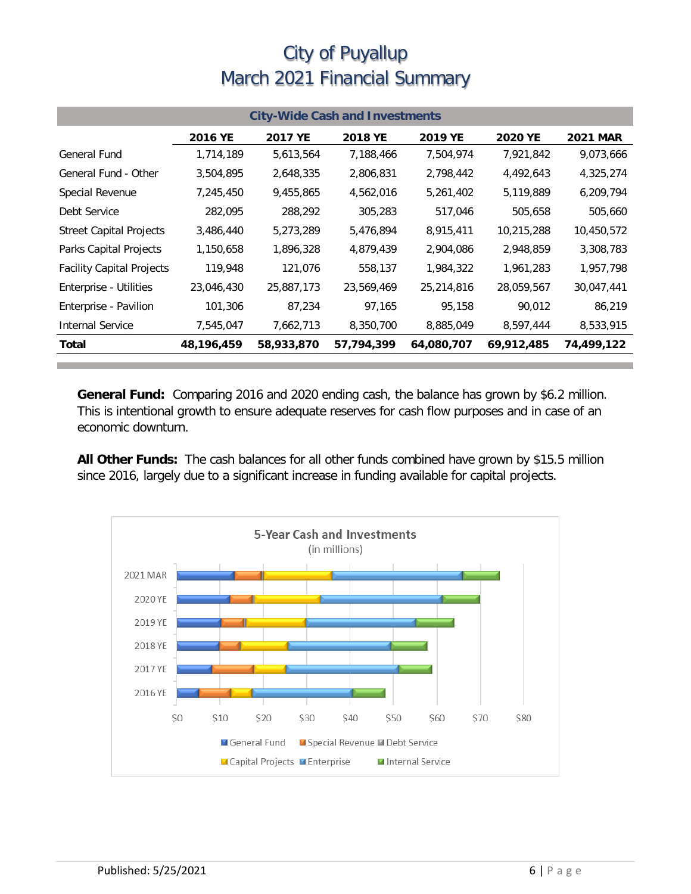| <b>City-Wide Cash and Investments</b> |            |            |                |            |                |                 |  |
|---------------------------------------|------------|------------|----------------|------------|----------------|-----------------|--|
|                                       | 2016 YE    | 2017 YE    | <b>2018 YE</b> | 2019 YE    | <b>2020 YE</b> | <b>2021 MAR</b> |  |
| General Fund                          | 1,714,189  | 5,613,564  | 7,188,466      | 7,504,974  | 7,921,842      | 9,073,666       |  |
| General Fund - Other                  | 3,504,895  | 2,648,335  | 2,806,831      | 2,798,442  | 4,492,643      | 4,325,274       |  |
| Special Revenue                       | 7,245,450  | 9,455,865  | 4,562,016      | 5,261,402  | 5,119,889      | 6,209,794       |  |
| Debt Service                          | 282,095    | 288,292    | 305,283        | 517,046    | 505,658        | 505,660         |  |
| <b>Street Capital Projects</b>        | 3,486,440  | 5,273,289  | 5,476,894      | 8,915,411  | 10,215,288     | 10,450,572      |  |
| Parks Capital Projects                | 1,150,658  | 1,896,328  | 4,879,439      | 2,904,086  | 2,948,859      | 3,308,783       |  |
| <b>Facility Capital Projects</b>      | 119,948    | 121,076    | 558,137        | 1,984,322  | 1,961,283      | 1,957,798       |  |
| Enterprise - Utilities                | 23,046,430 | 25,887,173 | 23,569,469     | 25,214,816 | 28,059,567     | 30,047,441      |  |
| Enterprise - Pavilion                 | 101,306    | 87,234     | 97,165         | 95,158     | 90,012         | 86,219          |  |
| <b>Internal Service</b>               | 7,545,047  | 7,662,713  | 8,350,700      | 8,885,049  | 8,597,444      | 8,533,915       |  |
| Total                                 | 48,196,459 | 58,933,870 | 57,794,399     | 64,080,707 | 69,912,485     | 74,499,122      |  |

**General Fund:** Comparing 2016 and 2020 ending cash, the balance has grown by \$6.2 million. This is intentional growth to ensure adequate reserves for cash flow purposes and in case of an economic downturn.

**All Other Funds:** The cash balances for all other funds combined have grown by \$15.5 million since 2016, largely due to a significant increase in funding available for capital projects.